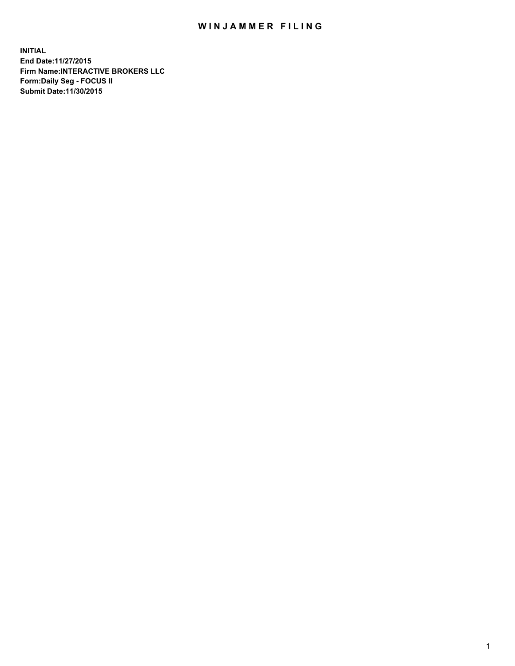## WIN JAMMER FILING

**INITIAL End Date:11/27/2015 Firm Name:INTERACTIVE BROKERS LLC Form:Daily Seg - FOCUS II Submit Date:11/30/2015**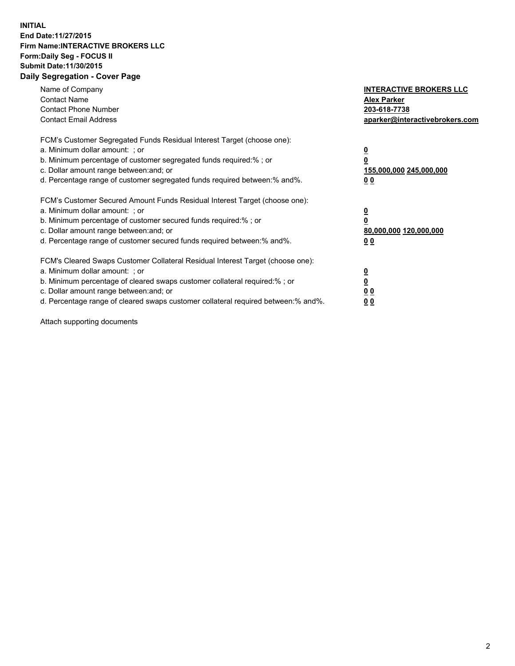## **INITIAL End Date:11/27/2015 Firm Name:INTERACTIVE BROKERS LLC Form:Daily Seg - FOCUS II Submit Date:11/30/2015 Daily Segregation - Cover Page**

| Name of Company<br><b>Contact Name</b><br><b>Contact Phone Number</b><br><b>Contact Email Address</b>                                                                                                                                                                                                                          | <b>INTERACTIVE BROKERS LLC</b><br><b>Alex Parker</b><br>203-618-7738<br>aparker@interactivebrokers.com |
|--------------------------------------------------------------------------------------------------------------------------------------------------------------------------------------------------------------------------------------------------------------------------------------------------------------------------------|--------------------------------------------------------------------------------------------------------|
| FCM's Customer Segregated Funds Residual Interest Target (choose one):<br>a. Minimum dollar amount: ; or<br>b. Minimum percentage of customer segregated funds required:% ; or<br>c. Dollar amount range between: and; or<br>d. Percentage range of customer segregated funds required between:% and%.                         | <u>0</u><br><u>155,000,000 245,000,000</u><br>00                                                       |
| FCM's Customer Secured Amount Funds Residual Interest Target (choose one):<br>a. Minimum dollar amount: ; or<br>b. Minimum percentage of customer secured funds required:%; or<br>c. Dollar amount range between: and; or<br>d. Percentage range of customer secured funds required between: % and %.                          | <u>0</u><br>80,000,000 120,000,000<br>0 <sub>0</sub>                                                   |
| FCM's Cleared Swaps Customer Collateral Residual Interest Target (choose one):<br>a. Minimum dollar amount: ; or<br>b. Minimum percentage of cleared swaps customer collateral required:% ; or<br>c. Dollar amount range between: and; or<br>d. Percentage range of cleared swaps customer collateral required between:% and%. | <u>0</u><br>0 <sub>0</sub><br><u>0 0</u>                                                               |

Attach supporting documents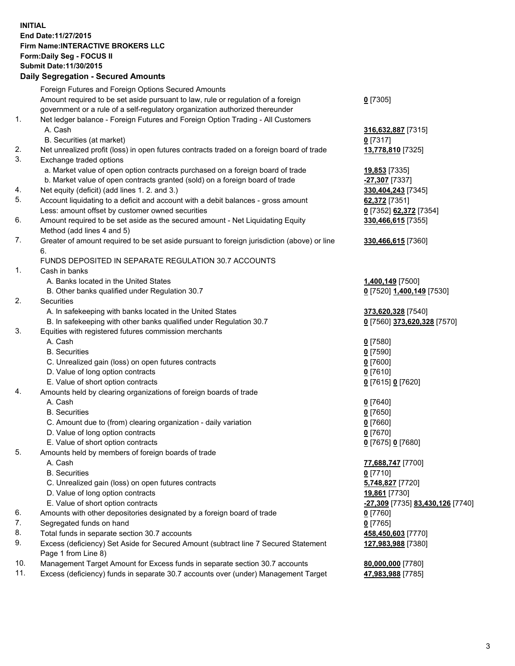## **INITIAL End Date:11/27/2015 Firm Name:INTERACTIVE BROKERS LLC Form:Daily Seg - FOCUS II Submit Date:11/30/2015 Daily Segregation - Secured Amounts**

|     | Daily Segregation - Secured Amounts                                                                        |                                  |
|-----|------------------------------------------------------------------------------------------------------------|----------------------------------|
|     | Foreign Futures and Foreign Options Secured Amounts                                                        |                                  |
|     | Amount required to be set aside pursuant to law, rule or regulation of a foreign                           | $0$ [7305]                       |
|     | government or a rule of a self-regulatory organization authorized thereunder                               |                                  |
| 1.  | Net ledger balance - Foreign Futures and Foreign Option Trading - All Customers                            |                                  |
|     | A. Cash                                                                                                    | 316,632,887 [7315]               |
|     | B. Securities (at market)                                                                                  | $0$ [7317]                       |
| 2.  | Net unrealized profit (loss) in open futures contracts traded on a foreign board of trade                  | 13,778,810 [7325]                |
| 3.  | Exchange traded options                                                                                    |                                  |
|     | a. Market value of open option contracts purchased on a foreign board of trade                             | 19,853 [7335]                    |
|     | b. Market value of open contracts granted (sold) on a foreign board of trade                               | $-27,307$ [7337]                 |
| 4.  | Net equity (deficit) (add lines 1.2. and 3.)                                                               | 330,404,243 [7345]               |
| 5.  | Account liquidating to a deficit and account with a debit balances - gross amount                          | 62,372 [7351]                    |
|     | Less: amount offset by customer owned securities                                                           | 0 [7352] 62,372 [7354]           |
| 6.  | Amount required to be set aside as the secured amount - Net Liquidating Equity                             | 330,466,615 [7355]               |
|     | Method (add lines 4 and 5)                                                                                 |                                  |
| 7.  | Greater of amount required to be set aside pursuant to foreign jurisdiction (above) or line                | 330,466,615 [7360]               |
|     | 6.                                                                                                         |                                  |
|     | FUNDS DEPOSITED IN SEPARATE REGULATION 30.7 ACCOUNTS                                                       |                                  |
| 1.  | Cash in banks                                                                                              |                                  |
|     | A. Banks located in the United States                                                                      | 1,400,149 [7500]                 |
|     | B. Other banks qualified under Regulation 30.7                                                             | 0 [7520] 1,400,149 [7530]        |
| 2.  | Securities                                                                                                 |                                  |
|     | A. In safekeeping with banks located in the United States                                                  | 373,620,328 [7540]               |
|     | B. In safekeeping with other banks qualified under Regulation 30.7                                         | 0 [7560] 373,620,328 [7570]      |
| 3.  | Equities with registered futures commission merchants                                                      |                                  |
|     | A. Cash                                                                                                    | $0$ [7580]                       |
|     | <b>B.</b> Securities                                                                                       | $0$ [7590]                       |
|     | C. Unrealized gain (loss) on open futures contracts                                                        | $0$ [7600]                       |
|     | D. Value of long option contracts                                                                          | $0$ [7610]                       |
|     | E. Value of short option contracts                                                                         | 0 [7615] 0 [7620]                |
| 4.  | Amounts held by clearing organizations of foreign boards of trade                                          |                                  |
|     | A. Cash                                                                                                    | $0$ [7640]                       |
|     | <b>B.</b> Securities                                                                                       | $0$ [7650]                       |
|     | C. Amount due to (from) clearing organization - daily variation                                            | $0$ [7660]                       |
|     | D. Value of long option contracts                                                                          | $0$ [7670]                       |
|     | E. Value of short option contracts                                                                         | 0 [7675] 0 [7680]                |
| 5.  | Amounts held by members of foreign boards of trade                                                         |                                  |
|     | A. Cash                                                                                                    | 77,688,747 [7700]                |
|     | <b>B.</b> Securities                                                                                       | $0$ [7710]                       |
|     | C. Unrealized gain (loss) on open futures contracts                                                        | 5,748,827 [7720]                 |
|     | D. Value of long option contracts                                                                          | 19,861 [7730]                    |
|     | E. Value of short option contracts                                                                         | -27,309 [7735] 83,430,126 [7740] |
| 6.  | Amounts with other depositories designated by a foreign board of trade                                     | 0 [7760]                         |
| 7.  | Segregated funds on hand                                                                                   | $0$ [7765]                       |
| 8.  | Total funds in separate section 30.7 accounts                                                              | 458,450,603 [7770]               |
| 9.  | Excess (deficiency) Set Aside for Secured Amount (subtract line 7 Secured Statement<br>Page 1 from Line 8) | 127,983,988 [7380]               |
| 10. | Management Target Amount for Excess funds in separate section 30.7 accounts                                | 80,000,000 [7780]                |
| 11. | Excess (deficiency) funds in separate 30.7 accounts over (under) Management Target                         | 47,983,988 [7785]                |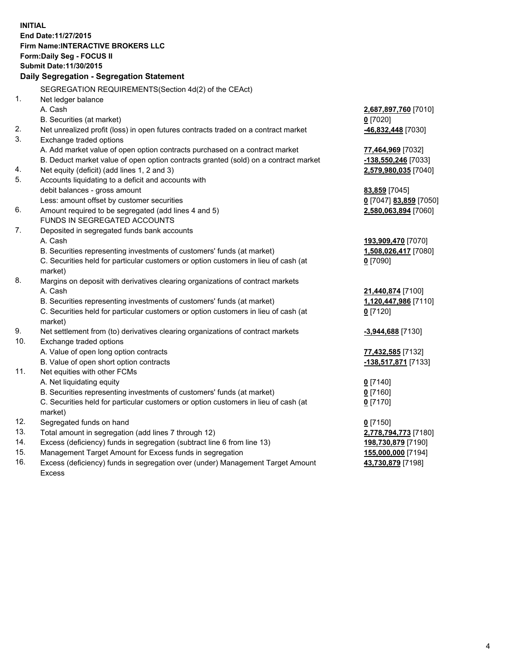**INITIAL End Date:11/27/2015 Firm Name:INTERACTIVE BROKERS LLC Form:Daily Seg - FOCUS II Submit Date:11/30/2015 Daily Segregation - Segregation Statement** SEGREGATION REQUIREMENTS(Section 4d(2) of the CEAct) 1. Net ledger balance A. Cash **2,687,897,760** [7010] B. Securities (at market) **0** [7020] 2. Net unrealized profit (loss) in open futures contracts traded on a contract market **-46,832,448** [7030] 3. Exchange traded options A. Add market value of open option contracts purchased on a contract market **77,464,969** [7032] B. Deduct market value of open option contracts granted (sold) on a contract market **-138,550,246** [7033] 4. Net equity (deficit) (add lines 1, 2 and 3) **2,579,980,035** [7040] 5. Accounts liquidating to a deficit and accounts with debit balances - gross amount **83,859** [7045] Less: amount offset by customer securities **0** [7047] **83,859** [7050] 6. Amount required to be segregated (add lines 4 and 5) **2,580,063,894** [7060] FUNDS IN SEGREGATED ACCOUNTS 7. Deposited in segregated funds bank accounts A. Cash **193,909,470** [7070] B. Securities representing investments of customers' funds (at market) **1,508,026,417** [7080] C. Securities held for particular customers or option customers in lieu of cash (at market) **0** [7090] 8. Margins on deposit with derivatives clearing organizations of contract markets A. Cash **21,440,874** [7100] B. Securities representing investments of customers' funds (at market) **1,120,447,986** [7110] C. Securities held for particular customers or option customers in lieu of cash (at market) **0** [7120] 9. Net settlement from (to) derivatives clearing organizations of contract markets **-3,944,688** [7130] 10. Exchange traded options A. Value of open long option contracts **77,432,585** [7132] B. Value of open short option contracts **-138,517,871** [7133] 11. Net equities with other FCMs A. Net liquidating equity **0** [7140] B. Securities representing investments of customers' funds (at market) **0** [7160] C. Securities held for particular customers or option customers in lieu of cash (at market) **0** [7170] 12. Segregated funds on hand **0** [7150] 13. Total amount in segregation (add lines 7 through 12) **2,778,794,773** [7180] 14. Excess (deficiency) funds in segregation (subtract line 6 from line 13) **198,730,879** [7190] 15. Management Target Amount for Excess funds in segregation **155,000,000** [7194] **43,730,879** [7198]

16. Excess (deficiency) funds in segregation over (under) Management Target Amount Excess